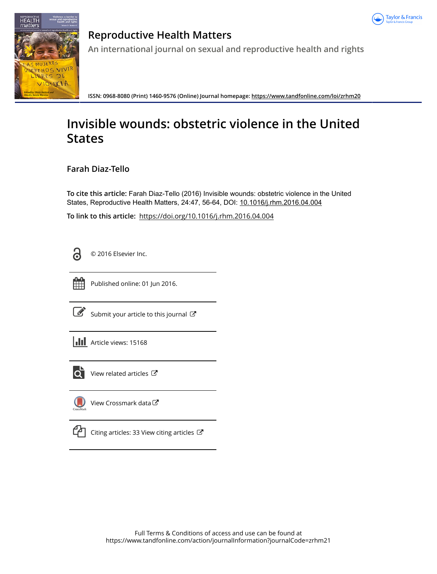



## **Reproductive Health Matters An international journal on sexual and reproductive health and rights**

**ISSN: 0968-8080 (Print) 1460-9576 (Online) Journal homepage:<https://www.tandfonline.com/loi/zrhm20>**

# **Invisible wounds: obstetric violence in the United States**

**Farah Diaz-Tello**

**To cite this article:** Farah Diaz-Tello (2016) Invisible wounds: obstetric violence in the United States, Reproductive Health Matters, 24:47, 56-64, DOI: [10.1016/j.rhm.2016.04.004](https://www.tandfonline.com/action/showCitFormats?doi=10.1016/j.rhm.2016.04.004)

**To link to this article:** <https://doi.org/10.1016/j.rhm.2016.04.004>



© 2016 Elsevier Inc.



Published online: 01 Jun 2016.

 $\overrightarrow{S}$  [Submit your article to this journal](https://www.tandfonline.com/action/authorSubmission?journalCode=zrhm21&show=instructions)  $\overrightarrow{S}$ 



 $\overrightarrow{Q}$  [View related articles](https://www.tandfonline.com/doi/mlt/10.1016/j.rhm.2016.04.004)  $\overrightarrow{C}$ 

[View Crossmark data](http://crossmark.crossref.org/dialog/?doi=10.1016/j.rhm.2016.04.004&domain=pdf&date_stamp=2016-06-01)<sup>√</sup>



 $\Box$  [Citing articles: 33 View citing articles](https://www.tandfonline.com/doi/citedby/10.1016/j.rhm.2016.04.004#tabModule)  $\Box$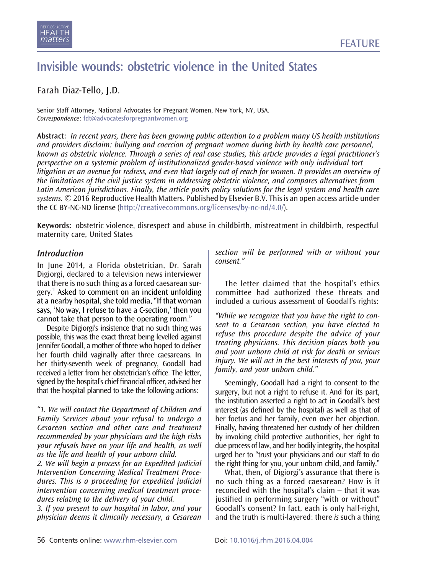**HEALTH** matter

## Invisible wounds: obstetric violence in the United States

## Farah Diaz-Tello, J.D.

Senior Staff Attorney, National Advocates for Pregnant Women, New York, NY, USA. Correspondence: fdt@advocatesforpregnantwomen.org

Abstract: In recent years, there has been growing public attention to a problem many US health institutions and providers disclaim: bullying and coercion of pregnant women during birth by health care personnel, known as obstetric violence. Through a series of real case studies, this article provides a legal practitioner's perspective on a systemic problem of institutionalized gender-based violence with only individual tort litigation as an avenue for redress, and even that largely out of reach for women. It provides an overview of the limitations of the civil justice system in addressing obstetric violence, and compares alternatives from Latin American jurisdictions. Finally, the article posits policy solutions for the legal system and health care systems. © 2016 Reproductive Health Matters. Published by Elsevier B.V. This is an open access article under the CC BY-NC-ND license (http://creativecommons.org/licenses/by-nc-nd/4.0/).

Keywords: obstetric violence, disrespect and abuse in childbirth, mistreatment in childbirth, respectful maternity care, United States

#### **Introduction**

In June 2014, a Florida obstetrician, Dr. Sarah Digiorgi, declared to a television news interviewer that there is no such thing as a forced caesarean surgery.<sup>1</sup> Asked to comment on an incident unfolding at a nearby hospital, she told media, "If that woman says, 'No way, I refuse to have a C-section,' then you cannot take that person to the operating room."

Despite Digiorgi's insistence that no such thing was possible, this was the exact threat being levelled against Jennifer Goodall, a mother of three who hoped to deliver her fourth child vaginally after three caesareans. In her thirty-seventh week of pregnancy, Goodall had received a letter from her obstetrician's office. The letter, signed by the hospital's chief financial officer, advised her that the hospital planned to take the following actions:

"1. We will contact the Department of Children and Family Services about your refusal to undergo a Cesarean section and other care and treatment recommended by your physicians and the high risks your refusals have on your life and health, as well as the life and health of your unborn child.

2. We will begin a process for an Expedited Judicial Intervention Concerning Medical Treatment Procedures. This is a proceeding for expedited judicial intervention concerning medical treatment procedures relating to the delivery of your child.

3. If you present to our hospital in labor, and your physician deems it clinically necessary, a Cesarean

section will be performed with or without your consent."

The letter claimed that the hospital's ethics committee had authorized these threats and included a curious assessment of Goodall's rights:

"While we recognize that you have the right to consent to a Cesarean section, you have elected to refuse this procedure despite the advice of your treating physicians. This decision places both you and your unborn child at risk for death or serious injury. We will act in the best interests of you, your family, and your unborn child."

Seemingly, Goodall had a right to consent to the surgery, but not a right to refuse it. And for its part, the institution asserted a right to act in Goodall's best interest (as defined by the hospital) as well as that of her foetus and her family, even over her objection. Finally, having threatened her custody of her children by invoking child protective authorities, her right to due process of law, and her bodily integrity, the hospital urged her to "trust your physicians and our staff to do the right thing for you, your unborn child, and family."

What, then, of Digiorgi's assurance that there is no such thing as a forced caesarean? How is it reconciled with the hospital's claim – that it was justified in performing surgery "with or without" Goodall's consent? In fact, each is only half-right, and the truth is multi-layered: there is such a thing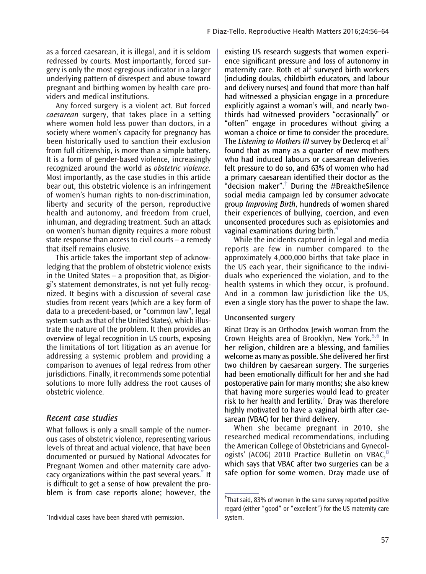as a forced caesarean, it is illegal, and it is seldom redressed by courts. Most importantly, forced surgery is only the most egregious indicator in a larger underlying pattern of disrespect and abuse toward pregnant and birthing women by health care providers and medical institutions.

Any forced surgery is a violent act. But forced caesarean surgery, that takes place in a setting where women hold less power than doctors, in a society where women's capacity for pregnancy has been historically used to sanction their exclusion from full citizenship, is more than a simple battery. It is a form of gender-based violence, increasingly recognized around the world as obstetric violence. Most importantly, as the case studies in this article bear out, this obstetric violence is an infringement of women's human rights to non-discrimination, liberty and security of the person, reproductive health and autonomy, and freedom from cruel, inhuman, and degrading treatment. Such an attack on women's human dignity requires a more robust state response than access to civil courts – a remedy that itself remains elusive.

This article takes the important step of acknowledging that the problem of obstetric violence exists in the United States – a proposition that, as Digiorgi's statement demonstrates, is not yet fully recognized. It begins with a discussion of several case studies from recent years (which are a key form of data to a precedent-based, or "common law", legal system such as that of the United States), which illustrate the nature of the problem. It then provides an overview of legal recognition in US courts, exposing the limitations of tort litigation as an avenue for addressing a systemic problem and providing a comparison to avenues of legal redress from other jurisdictions. Finally, it recommends some potential solutions to more fully address the root causes of obstetric violence.

### Recent case studies

What follows is only a small sample of the numerous cases of obstetric violence, representing various levels of threat and actual violence, that have been documented or pursued by National Advocates for Pregnant Women and other maternity care advocacy organizations within the past several years.<sup>\*</sup> It is difficult to get a sense of how prevalent the problem is from case reports alone; however, the

existing US research suggests that women experience significant pressure and loss of autonomy in maternity care. Roth et al<sup>2</sup> surveyed birth workers (including doulas, childbirth educators, and labour and delivery nurses) and found that more than half had witnessed a physician engage in a procedure explicitly against a woman's will, and nearly twothirds had witnessed providers "occasionally" or "often" engage in procedures without giving a woman a choice or time to consider the procedure. The Listening to Mothers III survey by Declerca et al<sup>[3](#page-8-0)</sup> found that as many as a quarter of new mothers who had induced labours or caesarean deliveries felt pressure to do so, and 63% of women who had a primary caesarean identified their doctor as the "decision maker". † During the #BreaktheSilence social media campaign led by consumer advocate group Improving Birth, hundreds of women shared their experiences of bullying, coercion, and even unconsented procedures such as episiotomies and vaginal examinations during birth.<sup>[4](#page-8-0)</sup>

While the incidents captured in legal and media reports are few in number compared to the approximately 4,000,000 births that take place in the US each year, their significance to the individuals who experienced the violation, and to the health systems in which they occur, is profound. And in a common law jurisdiction like the US, even a single story has the power to shape the law.

#### Unconsented surgery

Rinat Dray is an Orthodox Jewish woman from the Crown Heights area of Brooklyn, New York.<sup>[5,6](#page-8-0)</sup> In her religion, children are a blessing, and families welcome as many as possible. She delivered her first two children by caesarean surgery. The surgeries had been emotionally difficult for her and she had postoperative pain for many months; she also knew that having more surgeries would lead to greater risk to her health and fertility.<sup>[7](#page-8-0)</sup> Dray was therefore highly motivated to have a vaginal birth after caesarean (VBAC) for her third delivery.

When she became pregnant in 2010, she researched medical recommendations, including the American College of Obstetricians and Gynecologists' (ACOG) 2010 Practice Bulletin on VBAC. $8$ which says that VBAC after two surgeries can be a safe option for some women. Dray made use of

<sup>\*</sup>Individual cases have been shared with permission.

<sup>&</sup>lt;sup>†</sup>That said, 83% of women in the same survey reported positive regard (either "good" or "excellent") for the US maternity care system.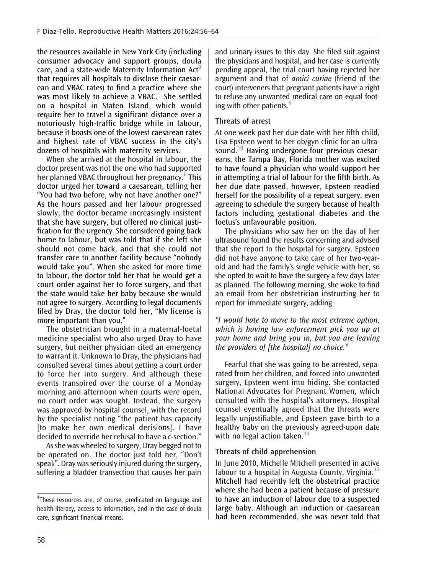the resources available in New York City (including consumer advocacy and support groups, doula care, and a state-wide Maternity Information  $Act^9$  $Act^9$ that requires all hospitals to disclose their caesarean and VBAC rates) to find a practice where she was most likely to achieve a VBAC. $\stackrel{+}{\ }$  She settled on a hospital in Staten Island, which would require her to travel a significant distance over a notoriously high-traffic bridge while in labour, because it boasts one of the lowest caesarean rates and highest rate of VBAC success in the city's dozens of hospitals with maternity services.

When she arrived at the hospital in labour, the doctor present was not the one who had supported her planned VBAC throughout her pregnancy.<sup>[6](#page-8-0)</sup> This doctor urged her toward a caesarean, telling her "You had two before, why not have another one?" As the hours passed and her labour progressed slowly, the doctor became increasingly insistent that she have surgery, but offered no clinical justification for the urgency. She considered going back home to labour, but was told that if she left she should not come back, and that she could not transfer care to another facility because "nobody would take you". When she asked for more time to labour, the doctor told her that he would get a court order against her to force surgery, and that the state would take her baby because she would not agree to surgery. According to legal documents filed by Dray, the doctor told her, "My license is more important than you."

The obstetrician brought in a maternal-foetal medicine specialist who also urged Dray to have surgery, but neither physician cited an emergency to warrant it. Unknown to Dray, the physicians had consulted several times about getting a court order to force her into surgery. And although these events transpired over the course of a Monday morning and afternoon when courts were open, no court order was sought. Instead, the surgery was approved by hospital counsel, with the record by the specialist noting "the patient has capacity [to make her own medical decisions]. I have decided to override her refusal to have a c-section."

As she was wheeled to surgery, Dray begged not to be operated on. The doctor just told her, "Don't speak". Dray was seriously injured during the surgery, suffering a bladder transection that causes her pain

and urinary issues to this day. She filed suit against the physicians and hospital, and her case is currently pending appeal, the trial court having rejected her argument and that of amici curiae (friend of the court) interveners that pregnant patients have a right to refuse any unwanted medical care on equal footing with other patients. $6$ 

#### Threats of arrest

At one week past her due date with her fifth child, Lisa Epsteen went to her ob/gyn clinic for an ultrasound.[10](#page-8-0) Having undergone four previous caesareans, the Tampa Bay, Florida mother was excited to have found a physician who would support her in attempting a trial of labour for the fifth birth. As her due date passed, however, Epsteen readied herself for the possibility of a repeat surgery, even agreeing to schedule the surgery because of health factors including gestational diabetes and the foetus's unfavourable position.

The physicians who saw her on the day of her ultrasound found the results concerning and advised that she report to the hospital for surgery. Epsteen did not have anyone to take care of her two-yearold and had the family's single vehicle with her, so she opted to wait to have the surgery a few days later as planned. The following morning, she woke to find an email from her obstetrician instructing her to report for immediate surgery, adding

"I would hate to move to the most extreme option, which is having law enforcement pick you up at your home and bring you in, but you are leaving the providers of [the hospital] no choice."

Fearful that she was going to be arrested, separated from her children, and forced into unwanted surgery, Epsteen went into hiding. She contacted National Advocates for Pregnant Women, which consulted with the hospital's attorneys. Hospital counsel eventually agreed that the threats were legally unjustifiable, and Epsteen gave birth to a healthy baby on the previously agreed-upon date with no legal action taken. $<sup>1</sup>$ </sup>

#### Threats of child apprehension

In June 2010, Michelle Mitchell presented in active labour to a hospital in Augusta County, Virginia.<sup>[12](#page-8-0)</sup> Mitchell had recently left the obstetrical practice where she had been a patient because of pressure to have an induction of labour due to a suspected large baby. Although an induction or caesarean had been recommended, she was never told that

<sup>‡</sup> These resources are, of course, predicated on language and health literacy, access to information, and in the case of doula care, significant financial means.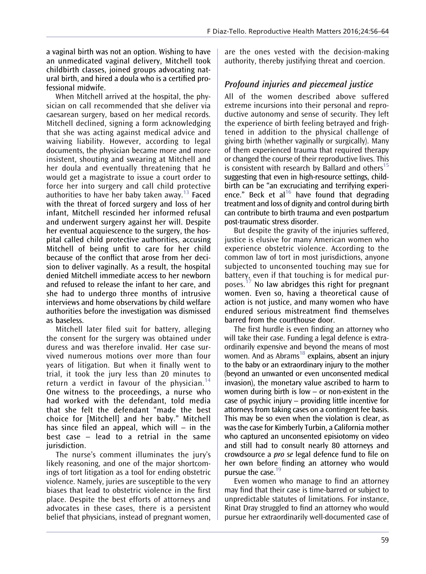a vaginal birth was not an option. Wishing to have an unmedicated vaginal delivery, Mitchell took childbirth classes, joined groups advocating natural birth, and hired a doula who is a certified professional midwife.

When Mitchell arrived at the hospital, the physician on call recommended that she deliver via caesarean surgery, based on her medical records. Mitchell declined, signing a form acknowledging that she was acting against medical advice and waiving liability. However, according to legal documents, the physician became more and more insistent, shouting and swearing at Mitchell and her doula and eventually threatening that he would get a magistrate to issue a court order to force her into surgery and call child protective authorities to have her baby taken away. $13$  Faced with the threat of forced surgery and loss of her infant, Mitchell rescinded her informed refusal and underwent surgery against her will. Despite her eventual acquiescence to the surgery, the hospital called child protective authorities, accusing Mitchell of being unfit to care for her child because of the conflict that arose from her decision to deliver vaginally. As a result, the hospital denied Mitchell immediate access to her newborn and refused to release the infant to her care, and she had to undergo three months of intrusive interviews and home observations by child welfare authorities before the investigation was dismissed as baseless.

Mitchell later filed suit for battery, alleging the consent for the surgery was obtained under duress and was therefore invalid. Her case survived numerous motions over more than four years of litigation. But when it finally went to trial, it took the jury less than 20 minutes to return a verdict in favour of the physician.<sup>1</sup> One witness to the proceedings, a nurse who had worked with the defendant, told media that she felt the defendant "made the best choice for [Mitchell] and her baby." Mitchell has since filed an appeal, which will  $-$  in the best case – lead to a retrial in the same jurisdiction.

The nurse's comment illuminates the jury's likely reasoning, and one of the major shortcomings of tort litigation as a tool for ending obstetric violence. Namely, juries are susceptible to the very biases that lead to obstetric violence in the first place. Despite the best efforts of attorneys and advocates in these cases, there is a persistent belief that physicians, instead of pregnant women, are the ones vested with the decision-making authority, thereby justifying threat and coercion.

## Profound injuries and piecemeal justice

All of the women described above suffered extreme incursions into their personal and reproductive autonomy and sense of security. They left the experience of birth feeling betrayed and frightened in addition to the physical challenge of giving birth (whether vaginally or surgically). Many of them experienced trauma that required therapy or changed the course of their reproductive lives. This is consistent with research by Ballard and others<sup>15</sup> suggesting that even in high-resource settings, childbirth can be "an excruciating and terrifying experience." Beck et al<sup>16</sup> have found that degrading treatment and loss of dignity and control during birth can contribute to birth trauma and even postpartum post-traumatic stress disorder.

But despite the gravity of the injuries suffered, justice is elusive for many American women who experience obstetric violence. According to the common law of tort in most jurisdictions, anyone subjected to unconsented touching may sue for battery, even if that touching is for medical pur-poses.<sup>[17](#page-8-0)</sup> No law abridges this right for pregnant women. Even so, having a theoretical cause of action is not justice, and many women who have endured serious mistreatment find themselves barred from the courthouse door.

The first hurdle is even finding an attorney who will take their case. Funding a legal defence is extraordinarily expensive and beyond the means of most women. And as Abrams<sup>[18](#page-8-0)</sup> explains, absent an injury to the baby or an extraordinary injury to the mother (beyond an unwanted or even unconsented medical invasion), the monetary value ascribed to harm to women during birth is low – or non-existent in the case of psychic injury – providing little incentive for attorneys from taking cases on a contingent fee basis. This may be so even when the violation is clear, as was the case for Kimberly Turbin, a California mother who captured an unconsented episiotomy on video and still had to consult nearly 80 attorneys and crowdsource a pro se legal defence fund to file on her own before finding an attorney who would pursue the case. $19$ 

Even women who manage to find an attorney may find that their case is time-barred or subject to unpredictable statutes of limitations. For instance, Rinat Dray struggled to find an attorney who would pursue her extraordinarily well-documented case of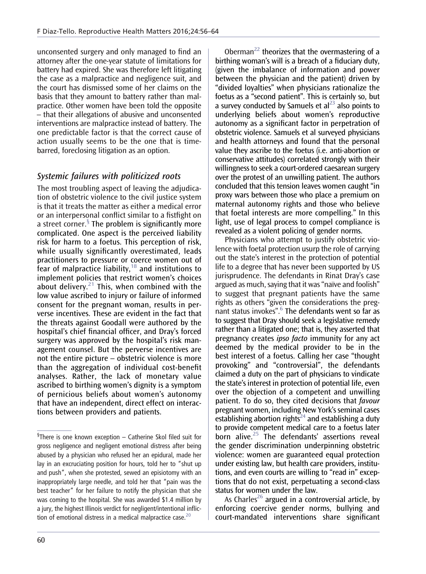unconsented surgery and only managed to find an attorney after the one-year statute of limitations for battery had expired. She was therefore left litigating the case as a malpractice and negligence suit, and the court has dismissed some of her claims on the basis that they amount to battery rather than malpractice. Other women have been told the opposite – that their allegations of abusive and unconsented interventions are malpractice instead of battery. The one predictable factor is that the correct cause of action usually seems to be the one that is timebarred, foreclosing litigation as an option.

## Systemic failures with politicized roots

The most troubling aspect of leaving the adjudication of obstetric violence to the civil justice system is that it treats the matter as either a medical error or an interpersonal conflict similar to a fistfight on a street corner.§ The problem is significantly more complicated. One aspect is the perceived liability risk for harm to a foetus. This perception of risk, while usually significantly overestimated, leads practitioners to pressure or coerce women out of fear of malpractice liability, $18$  and institutions to implement policies that restrict women's choices about delivery. $21$  This, when combined with the low value ascribed to injury or failure of informed consent for the pregnant woman, results in perverse incentives. These are evident in the fact that the threats against Goodall were authored by the hospital's chief financial officer, and Dray's forced surgery was approved by the hospital's risk management counsel. But the perverse incentives are not the entire picture – obstetric violence is more than the aggregation of individual cost-benefit analyses. Rather, the lack of monetary value ascribed to birthing women's dignity is a symptom of pernicious beliefs about women's autonomy that have an independent, direct effect on interactions between providers and patients.

Oberman<sup>22</sup> theorizes that the overmastering of a birthing woman's will is a breach of a fiduciary duty, (given the imbalance of information and power between the physician and the patient) driven by "divided loyalties" when physicians rationalize the foetus as a "second patient". This is certainly so, but a survey conducted by Samuels et  $al<sup>23</sup>$  also points to underlying beliefs about women's reproductive autonomy as a significant factor in perpetration of obstetric violence. Samuels et al surveyed physicians and health attorneys and found that the personal value they ascribe to the foetus (i.e. anti-abortion or conservative attitudes) correlated strongly with their willingness to seek a court-ordered caesarean surgery over the protest of an unwilling patient. The authors concluded that this tension leaves women caught "in proxy wars between those who place a premium on maternal autonomy rights and those who believe that foetal interests are more compelling." In this light, use of legal process to compel compliance is revealed as a violent policing of gender norms.

Physicians who attempt to justify obstetric violence with foetal protection usurp the role of carrying out the state's interest in the protection of potential life to a degree that has never been supported by US jurisprudence. The defendants in Rinat Dray's case argued as much, saying that it was"naïve and foolish" to suggest that pregnant patients have the same rights as others "given the considerations the pregnant status invokes". [6](#page-8-0) The defendants went so far as to suggest that Dray should seek a legislative remedy rather than a litigated one; that is, they asserted that pregnancy creates ipso facto immunity for any act deemed by the medical provider to be in the best interest of a foetus. Calling her case "thought provoking" and "controversial", the defendants claimed a duty on the part of physicians to vindicate the state's interest in protection of potential life, even over the objection of a competent and unwilling patient. To do so, they cited decisions that favour pregnant women, including New York's seminal cases establishing abortion rights<sup>24</sup> and establishing a duty to provide competent medical care to a foetus later born alive.<sup>25</sup> The defendants' assertions reveal the gender discrimination underpinning obstetric violence: women are guaranteed equal protection under existing law, but health care providers, institutions, and even courts are willing to "read in" exceptions that do not exist, perpetuating a second-class status for women under the law.

As Charles<sup>[26](#page-8-0)</sup> argued in a controversial article, by enforcing coercive gender norms, bullying and court-mandated interventions share significant

<sup>§</sup> There is one known exception – Catherine Skol filed suit for gross negligence and negligent emotional distress after being abused by a physician who refused her an epidural, made her lay in an excruciating position for hours, told her to "shut up and push", when she protested, sewed an episiotomy with an inappropriately large needle, and told her that "pain was the best teacher" for her failure to notify the physician that she was coming to the hospital. She was awarded \$1.4 million by a jury, the highest Illinois verdict for negligent/intentional infliction of emotional distress in a medical malpractice case. $20$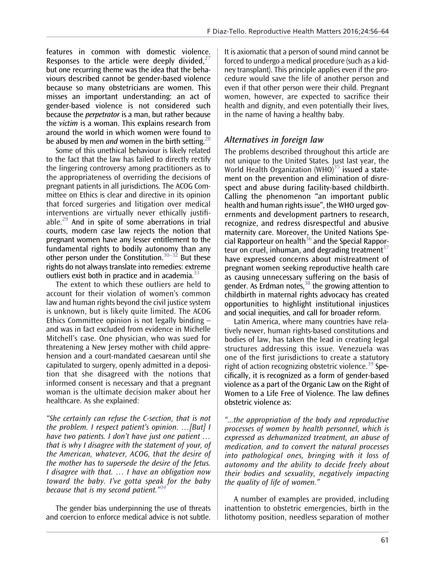features in common with domestic violence. Responses to the article were deeply divided.<sup>2</sup> but one recurring theme was the idea that the behaviours described cannot be gender-based violence because so many obstetricians are women. This misses an important understanding: an act of gender-based violence is not considered such because the perpetrator is a man, but rather because the victim is a woman. This explains research from around the world in which women were found to be abused by men *and* women in the birth setting.<sup>28</sup>

Some of this unethical behaviour is likely related to the fact that the law has failed to directly rectify the lingering controversy among practitioners as to the appropriateness of overriding the decisions of pregnant patients in all jurisdictions. The ACOG Committee on Ethics is clear and directive in its opinion that forced surgeries and litigation over medical interventions are virtually never ethically justifiable.<sup>29</sup> And in spite of some aberrations in trial courts, modern case law rejects the notion that pregnant women have any lesser entitlement to the fundamental rights to bodily autonomy than any other person under the Constitution.<sup>30–32</sup> But these rights do not always translate into remedies: extreme outliers exist both in practice and in academia. $33$ 

The extent to which these outliers are held to account for their violation of women's common law and human rights beyond the civil justice system is unknown, but is likely quite limited. The ACOG Ethics Committee opinion is not legally binding – and was in fact excluded from evidence in Michelle Mitchell's case. One physician, who was sued for threatening a New Jersey mother with child apprehension and a court-mandated caesarean until she capitulated to surgery, openly admitted in a deposition that she disagreed with the notions that informed consent is necessary and that a pregnant woman is the ultimate decision maker about her healthcare. As she explained:

"She certainly can refuse the C-section, that is not the problem. I respect patient's opinion. …[But] I have two patients. I don't have just one patient … that is why I disagree with the statement of your, of the American, whatever, ACOG, that the desire of the mother has to supersede the desire of the fetus. I disagree with that. … I have an obligation now toward the baby. I've gotta speak for the baby because that is my second patient."<sup>[34](#page-9-0)</sup>

The gender bias underpinning the use of threats and coercion to enforce medical advice is not subtle.

It is axiomatic that a person of sound mind cannot be forced to undergo a medical procedure (such as a kidney transplant). This principle applies even if the procedure would save the life of another person and even if that other person were their child. Pregnant women, however, are expected to sacrifice their health and dignity, and even potentially their lives, in the name of having a healthy baby.

## Alternatives in foreign law

The problems described throughout this article are not unique to the United States. Just last year, the World Health Organization (WHO)<sup>[35](#page-9-0)</sup> issued a statement on the prevention and elimination of disrespect and abuse during facility-based childbirth. Calling the phenomenon "an important public health and human rights issue", the WHO urged governments and development partners to research, recognize, and redress disrespectful and abusive maternity care. Moreover, the United Nations Special Rapporteur on health<sup>36</sup> and the Special Rapporteur on cruel, inhuman, and degrading treatment<sup>37</sup> have expressed concerns about mistreatment of pregnant women seeking reproductive health care as causing unnecessary suffering on the basis of gender. As Erdman notes, $38$  the growing attention to childbirth in maternal rights advocacy has created opportunities to highlight institutional injustices and social inequities, and call for broader reform.

Latin America, where many countries have relatively newer, human rights-based constitutions and bodies of law, has taken the lead in creating legal structures addressing this issue. Venezuela was one of the first jurisdictions to create a statutory right of action recognizing obstetric violence.<sup>39</sup> Specifically, it is recognized as a form of gender-based violence as a part of the Organic Law on the Right of Women to a Life Free of Violence. The law defines obstetric violence as:

"...the appropriation of the body and reproductive processes of women by health personnel, which is expressed as dehumanized treatment, an abuse of medication, and to convert the natural processes into pathological ones, bringing with it loss of autonomy and the ability to decide freely about their bodies and sexuality, negatively impacting the quality of life of women."

A number of examples are provided, including inattention to obstetric emergencies, birth in the lithotomy position, needless separation of mother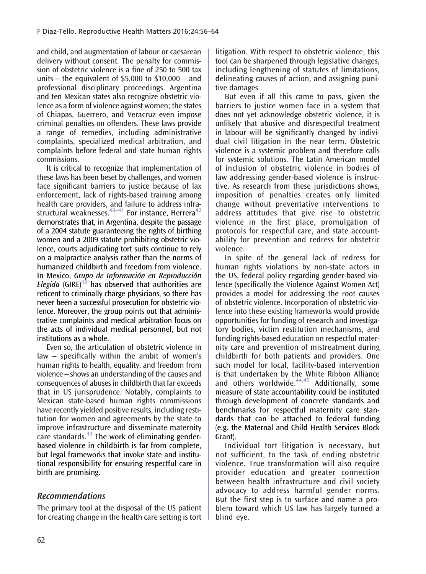and child, and augmentation of labour or caesarean delivery without consent. The penalty for commission of obstetric violence is a fine of 250 to 500 tax units – the equivalent of \$5,000 to \$10,000 – and professional disciplinary proceedings. Argentina and ten Mexican states also recognize obstetric violence as a form of violence against women; the states of Chiapas, Guerrero, and Veracruz even impose criminal penalties on offenders. These laws provide a range of remedies, including administrative complaints, specialized medical arbitration, and complaints before federal and state human rights commissions.

It is critical to recognize that implementation of these laws has been beset by challenges, and women face significant barriers to justice because of lax enforcement, lack of rights-based training among health care providers, [and](#page-9-0) failure to address infrastructural weaknesses. $40-41$  For instance, Herrera<sup>42</sup> demonstrates that, in Argentina, despite the passage of a 2004 statute guaranteeing the rights of birthing women and a 2009 statute prohibiting obstetric violence, courts adjudicating tort suits continue to rely on a malpractice analysis rather than the norms of humanized childbirth and freedom from violence. In Mexico, Grupo de Información en Reproducción Elegida (GIRE)<sup>[43](#page-9-0)</sup> has observed that authorities are reticent to criminally charge physicians, so there has never been a successful prosecution for obstetric violence. Moreover, the group points out that administrative complaints and medical arbitration focus on the acts of individual medical personnel, but not institutions as a whole.

Even so, the articulation of obstetric violence in law – specifically within the ambit of women's human rights to health, equality, and freedom from violence – shows an understanding of the causes and consequences of abuses in childbirth that far exceeds that in US jurisprudence. Notably, complaints to Mexican state-based human rights commissions have recently yielded positive results, including restitution for women and agreements by the state to improve infrastructure and disseminate maternity care standards. $43$  The work of eliminating genderbased violence in childbirth is far from complete, but legal frameworks that invoke state and institutional responsibility for ensuring respectful care in birth are promising.

## Recommendations

The primary tool at the disposal of the US patient for creating change in the health care setting is tort litigation. With respect to obstetric violence, this tool can be sharpened through legislative changes, including lengthening of statutes of limitations, delineating causes of action, and assigning punitive damages.

But even if all this came to pass, given the barriers to justice women face in a system that does not yet acknowledge obstetric violence, it is unlikely that abusive and disrespectful treatment in labour will be significantly changed by individual civil litigation in the near term. Obstetric violence is a systemic problem and therefore calls for systemic solutions. The Latin American model of inclusion of obstetric violence in bodies of law addressing gender-based violence is instructive. As research from these jurisdictions shows, imposition of penalties creates only limited change without preventative interventions to address attitudes that give rise to obstetric violence in the first place, promulgation of protocols for respectful care, and state accountability for prevention and redress for obstetric violence.

In spite of the general lack of redress for human rights violations by non-state actors in the US, federal policy regarding gender-based violence (specifically the Violence Against Women Act) provides a model for addressing the root causes of obstetric violence. Incorporation of obstetric violence into these existing frameworks would provide opportunities for funding of research and investigatory bodies, victim restitution mechanisms, and funding rights-based education on respectful maternity care and prevention of mistreatment during childbirth for both patients and providers. One such model for local, facility-based intervention is that undertaken by the White Ribbon Alliance and others worldwide.<sup>[44,45](#page-9-0)</sup> Additionally, some measure of state accountability could be instituted through development of concrete standards and benchmarks for respectful maternity care standards that can be attached to federal funding (e.g. the Maternal and Child Health Services Block Grant).

Individual tort litigation is necessary, but not sufficient, to the task of ending obstetric violence. True transformation will also require provider education and greater connection between health infrastructure and civil society advocacy to address harmful gender norms. But the first step is to surface and name a problem toward which US law has largely turned a blind eye.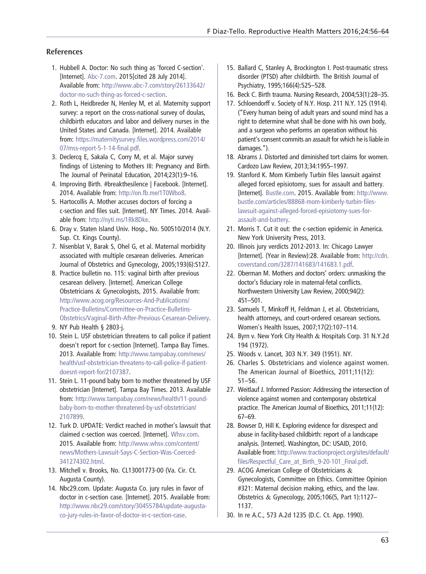#### <span id="page-8-0"></span>References

- 1. Hubbell A. Doctor: No such thing as 'forced C-section'. [Internet]. [Abc-7.com](http://Abc-7.com). 2015[cited 28 July 2014]. Available from: [http://www.abc-7.com/story/26133642/](http://www.abc-7.com/story/26133642/doctor-no-such-thing-as-forced-c-section) [doctor-no-such-thing-as-forced-c-section.](http://www.abc-7.com/story/26133642/doctor-no-such-thing-as-forced-c-section)
- 2. Roth L, Heidbreder N, Henley M, et al. Maternity support survey: a report on the cross-national survey of doulas, childbirth educators and labor and delivery nurses in the United States and Canada. [Internet]. 2014. Available from: https://maternitysurvey.fi[les.wordpress.com/2014/](https://maternitysurvey.files.wordpress.com/2014/07/mss-report-5-1-14-final.pdf) [07/mss-report-5-1-14-](https://maternitysurvey.files.wordpress.com/2014/07/mss-report-5-1-14-final.pdf)final.pdf.
- 3. Declercq E, Sakala C, Corry M, et al. Major survey findings of Listening to Mothers III: Pregnancy and Birth. The Journal of Perinatal Education, 2014;23(1):9–16.
- 4. Improving Birth. #breakthesilence | Facebook. [Internet]. 2014. Available from: [http://on.fb.me/1T0Wbo8.](http://on.fb.me/1T0Wbo8)
- 5. Hartocollis A. Mother accuses doctors of forcing a c-section and files suit. [Internet]. NY Times. 2014. Available from: [http://nyti.ms/1Rk8Dke.](http://nyti.ms/1Rk8Dke)
- 6. Dray v. Staten Island Univ. Hosp., No. 500510/2014 (N.Y. Sup. Ct. Kings County).
- 7. Nisenblat V, Barak S, Ohel G, et al. Maternal morbidity associated with multiple cesarean deliveries. American Journal of Obstetrics and Gynecology, 2005;193(6):S127.
- 8. Practice bulletin no. 115: vaginal birth after previous cesarean delivery. [Internet]. American College Obstetricians & Gynecologists, 2015. Available from: [http://www.acog.org/Resources-And-Publications/](http://www.acog.org/Resources-And-Publications/Practice-Bulletins/Committee-on-Practice-Bulletins-Obstetrics/Vaginal-Birth-After-Previous-Cesarean-Delivery) [Practice-Bulletins/Committee-on-Practice-Bulletins-](http://www.acog.org/Resources-And-Publications/Practice-Bulletins/Committee-on-Practice-Bulletins-Obstetrics/Vaginal-Birth-After-Previous-Cesarean-Delivery)[Obstetrics/Vaginal-Birth-After-Previous-Cesarean-Delivery.](http://www.acog.org/Resources-And-Publications/Practice-Bulletins/Committee-on-Practice-Bulletins-Obstetrics/Vaginal-Birth-After-Previous-Cesarean-Delivery)
- 9. NY Pub Health § 2803-j.
- 10. Stein L. USF obstetrician threatens to call police if patient doesn't report for c-section [Internet]. Tampa Bay Times. 2013. Available from: [http://www.tampabay.com/news/](http://www.tampabay.com/news/health/usf-obstetrician-threatens-to-call-police-if-patient-doesnt-report-for/2107387) [health/usf-obstetrician-threatens-to-call-police-if-patient](http://www.tampabay.com/news/health/usf-obstetrician-threatens-to-call-police-if-patient-doesnt-report-for/2107387)[doesnt-report-for/2107387](http://www.tampabay.com/news/health/usf-obstetrician-threatens-to-call-police-if-patient-doesnt-report-for/2107387).
- 11. Stein L. 11-pound baby born to mother threatened by USF obstetrician [Internet]. Tampa Bay Times. 2013. Available from: [http://www.tampabay.com/news/health/11-pound](http://www.tampabay.com/news/health/11-pound-baby-born-to-mother-threatened-by-usf-obstetrician/2107899)[baby-born-to-mother-threatened-by-usf-obstetrician/](http://www.tampabay.com/news/health/11-pound-baby-born-to-mother-threatened-by-usf-obstetrician/2107899) [2107899](http://www.tampabay.com/news/health/11-pound-baby-born-to-mother-threatened-by-usf-obstetrician/2107899).
- 12. Turk D. UPDATE: Verdict reached in mother's lawsuit that claimed c-section was coerced. [Internet]. [Whsv.com](http://Whsv.com). 2015. Available from: [http://www.whsv.com/content/](http://www.whsv.com/content/news/Mothers-Lawsuit-Says-C-Section-Was-Coerced-341274302.html) [news/Mothers-Lawsuit-Says-C-Section-Was-Coerced-](http://www.whsv.com/content/news/Mothers-Lawsuit-Says-C-Section-Was-Coerced-341274302.html)[341274302.html](http://www.whsv.com/content/news/Mothers-Lawsuit-Says-C-Section-Was-Coerced-341274302.html).
- 13. Mitchell v. Brooks, No. CL13001773-00 (Va. Cir. Ct. Augusta County).
- 14. Nbc29.com. Update: Augusta Co. jury rules in favor of doctor in c-section case. [Internet]. 2015. Available from: [http://www.nbc29.com/story/30455784/update-augusta](http://www.nbc29.com/story/30455784/update-augusta-co-jury-rules-in-favor-of-doctor-in-c-section-case)[co-jury-rules-in-favor-of-doctor-in-c-section-case.](http://www.nbc29.com/story/30455784/update-augusta-co-jury-rules-in-favor-of-doctor-in-c-section-case)
- 15. Ballard C, Stanley A, Brockington I. Post-traumatic stress disorder (PTSD) after childbirth. The British Journal of Psychiatry, 1995;166(4):525–528.
- 16. Beck C. Birth trauma. Nursing Research, 2004;53(1):28–35.
- 17. Schloendorff v. Society of N.Y. Hosp. 211 N.Y. 125 (1914). ("Every human being of adult years and sound mind has a right to determine what shall be done with his own body, and a surgeon who performs an operation without his patient's consent commits an assault for which he is liable in damages.").
- 18. Abrams J. Distorted and diminished tort claims for women. Cardozo Law Review, 2013;34:1955–1997.
- 19. Stanford K. Mom Kimberly Turbin files lawsuit against alleged forced episiotomy, sues for assault and battery. [Internet]. [Bustle.com](http://Bustle.com). 2015. Available from: [http://www.](http://www.bustle.com/articles/88868-mom-kimberly-turbin-files-lawsuit-against-alleged-forced-episiotomy-sues-for-assault-and-battery) [bustle.com/articles/88868-mom-kimberly-turbin-](http://www.bustle.com/articles/88868-mom-kimberly-turbin-files-lawsuit-against-alleged-forced-episiotomy-sues-for-assault-and-battery)files[lawsuit-against-alleged-forced-episiotomy-sues-for](http://www.bustle.com/articles/88868-mom-kimberly-turbin-files-lawsuit-against-alleged-forced-episiotomy-sues-for-assault-and-battery)[assault-and-battery](http://www.bustle.com/articles/88868-mom-kimberly-turbin-files-lawsuit-against-alleged-forced-episiotomy-sues-for-assault-and-battery).
- 21. Morris T. Cut it out: the c-section epidemic in America. New York University Press, 2013.
- 20. Illinois jury verdicts 2012-2013. In: Chicago Lawyer [Internet]. (Year in Review):28. Available from: [http://cdn.](http://cdn.coverstand.com/3287/141683/141683.1.pdf) [coverstand.com/3287/141683/141683.1.pdf](http://cdn.coverstand.com/3287/141683/141683.1.pdf).
- 22. Oberman M. Mothers and doctors' orders: unmasking the doctor's fiduciary role in maternal-fetal conflicts. Northwestern University Law Review, 2000;94(2): 451–501.
- 23. Samuels T, Minkoff H, Feldman J, et al. Obstetricians, health attorneys, and court-ordered cesarean sections. Women's Health Issues, 2007;17(2):107–114.
- 24. Byrn v. New York City Health & Hospitals Corp. 31 N.Y.2d 194 (1972).
- 25. Woods v. Lancet, 303 N.Y. 349 (1951). NY.
- 26. Charles S. Obstetricians and violence against women. The American Journal of Bioethics, 2011;11(12): 51–56.
- 27. Weitlauf J. Informed Passion: Addressing the intersection of violence against women and contemporary obstetrical practice. The American Journal of Bioethics, 2011;11(12): 67–69.
- 28. Bowser D, Hill K. Exploring evidence for disrespect and abuse in facility-based childbirth: report of a landscape analysis. [Internet]. Washington, DC: USAID, 2010. Available from: [http://www.tractionproject.org/sites/default/](http://www.tractionproject.org/sites/default/files/Respectful_Care_at_Birth_9-20-101_Final.pdf) fi[les/Respectful\\_Care\\_at\\_Birth\\_9-20-101\\_Final.pdf.](http://www.tractionproject.org/sites/default/files/Respectful_Care_at_Birth_9-20-101_Final.pdf)
- 29. ACOG American College of Obstetricians & Gynecologists, Committee on Ethics. Committee Opinion #321: Maternal decision making, ethics, and the law. Obstetrics & Gynecology, 2005;106(5, Part 1):1127– 1137.
- 30. In re A.C., 573 A.2d 1235 (D.C. Ct. App. 1990).